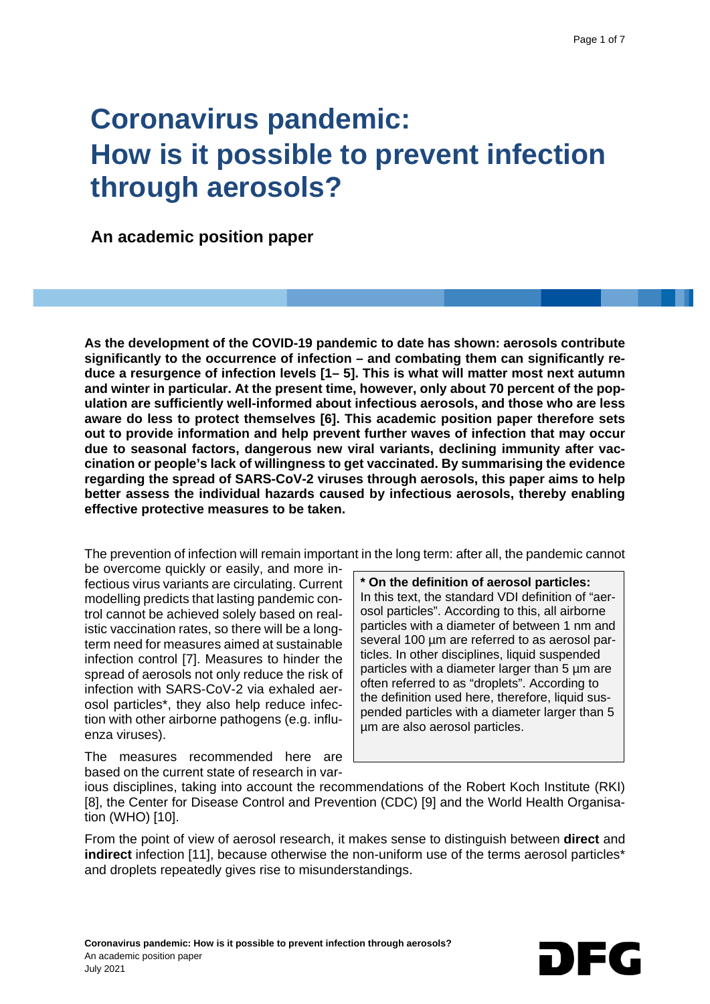# **Coronavirus pandemic: How is it possible to prevent infection through aerosols?**

 **An academic position paper**

**As the development of the COVID-19 pandemic to date has shown: aerosols contribute significantly to the occurrence of infection – and combating them can significantly reduce a resurgence of infection levels [1– 5]. This is what will matter most next autumn and winter in particular. At the present time, however, only about 70 percent of the population are sufficiently well-informed about infectious aerosols, and those who are less aware do less to protect themselves [6]. This academic position paper therefore sets out to provide information and help prevent further waves of infection that may occur due to seasonal factors, dangerous new viral variants, declining immunity after vaccination or people's lack of willingness to get vaccinated. By summarising the evidence regarding the spread of SARS-CoV-2 viruses through aerosols, this paper aims to help better assess the individual hazards caused by infectious aerosols, thereby enabling effective protective measures to be taken.**

The prevention of infection will remain important in the long term: after all, the pandemic cannot

be overcome quickly or easily, and more infectious virus variants are circulating. Current modelling predicts that lasting pandemic control cannot be achieved solely based on realistic vaccination rates, so there will be a longterm need for measures aimed at sustainable infection control [7]. Measures to hinder the spread of aerosols not only reduce the risk of infection with SARS-CoV-2 via exhaled aerosol particles\*, they also help reduce infection with other airborne pathogens (e.g. influenza viruses).

**\* On the definition of aerosol particles:** In this text, the standard VDI definition of "aerosol particles". According to this, all airborne particles with a diameter of between 1 nm and several 100  $\mu$ m are referred to as aerosol particles. In other disciplines, liquid suspended particles with a diameter larger than 5 µm are often referred to as "droplets". According to the definition used here, therefore, liquid suspended particles with a diameter larger than 5 µm are also aerosol particles.

The measures recommended here are based on the current state of research in var-

ious disciplines, taking into account the recommendations of the Robert Koch Institute (RKI) [8], the Center for Disease Control and Prevention (CDC) [9] and the World Health Organisation (WHO) [10].

From the point of view of aerosol research, it makes sense to distinguish between **direct** and **indirect** infection [11], because otherwise the non-uniform use of the terms aerosol particles\* and droplets repeatedly gives rise to misunderstandings.

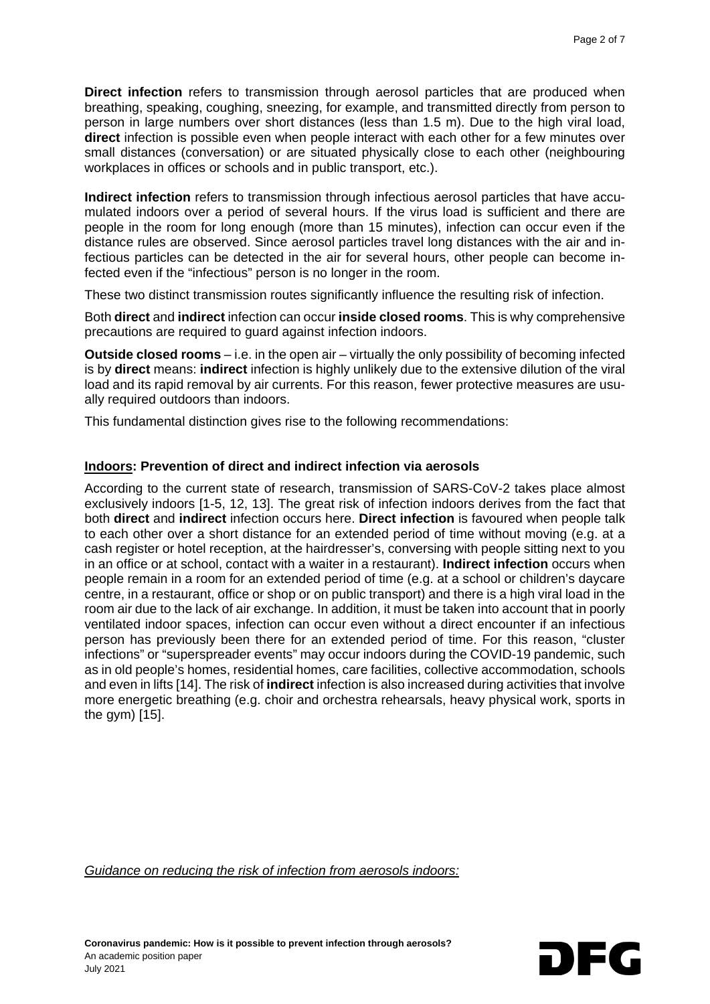**Direct infection** refers to transmission through aerosol particles that are produced when breathing, speaking, coughing, sneezing, for example, and transmitted directly from person to person in large numbers over short distances (less than 1.5 m). Due to the high viral load, **direct** infection is possible even when people interact with each other for a few minutes over small distances (conversation) or are situated physically close to each other (neighbouring workplaces in offices or schools and in public transport, etc.).

**Indirect infection** refers to transmission through infectious aerosol particles that have accumulated indoors over a period of several hours. If the virus load is sufficient and there are people in the room for long enough (more than 15 minutes), infection can occur even if the distance rules are observed. Since aerosol particles travel long distances with the air and infectious particles can be detected in the air for several hours, other people can become infected even if the "infectious" person is no longer in the room.

These two distinct transmission routes significantly influence the resulting risk of infection.

Both **direct** and **indirect** infection can occur **inside closed rooms**. This is why comprehensive precautions are required to guard against infection indoors.

**Outside closed rooms** – i.e. in the open air – virtually the only possibility of becoming infected is by **direct** means: **indirect** infection is highly unlikely due to the extensive dilution of the viral load and its rapid removal by air currents. For this reason, fewer protective measures are usually required outdoors than indoors.

This fundamental distinction gives rise to the following recommendations:

#### **Indoors: Prevention of direct and indirect infection via aerosols**

According to the current state of research, transmission of SARS-CoV-2 takes place almost exclusively indoors [1-5, 12, 13]. The great risk of infection indoors derives from the fact that both **direct** and **indirect** infection occurs here. **Direct infection** is favoured when people talk to each other over a short distance for an extended period of time without moving (e.g. at a cash register or hotel reception, at the hairdresser's, conversing with people sitting next to you in an office or at school, contact with a waiter in a restaurant). **Indirect infection** occurs when people remain in a room for an extended period of time (e.g. at a school or children's daycare centre, in a restaurant, office or shop or on public transport) and there is a high viral load in the room air due to the lack of air exchange. In addition, it must be taken into account that in poorly ventilated indoor spaces, infection can occur even without a direct encounter if an infectious person has previously been there for an extended period of time. For this reason, "cluster infections" or "superspreader events" may occur indoors during the COVID-19 pandemic, such as in old people's homes, residential homes, care facilities, collective accommodation, schools and even in lifts [14]. The risk of **indirect** infection is also increased during activities that involve more energetic breathing (e.g. choir and orchestra rehearsals, heavy physical work, sports in the gym) [15].

*Guidance on reducing the risk of infection from aerosols indoors:*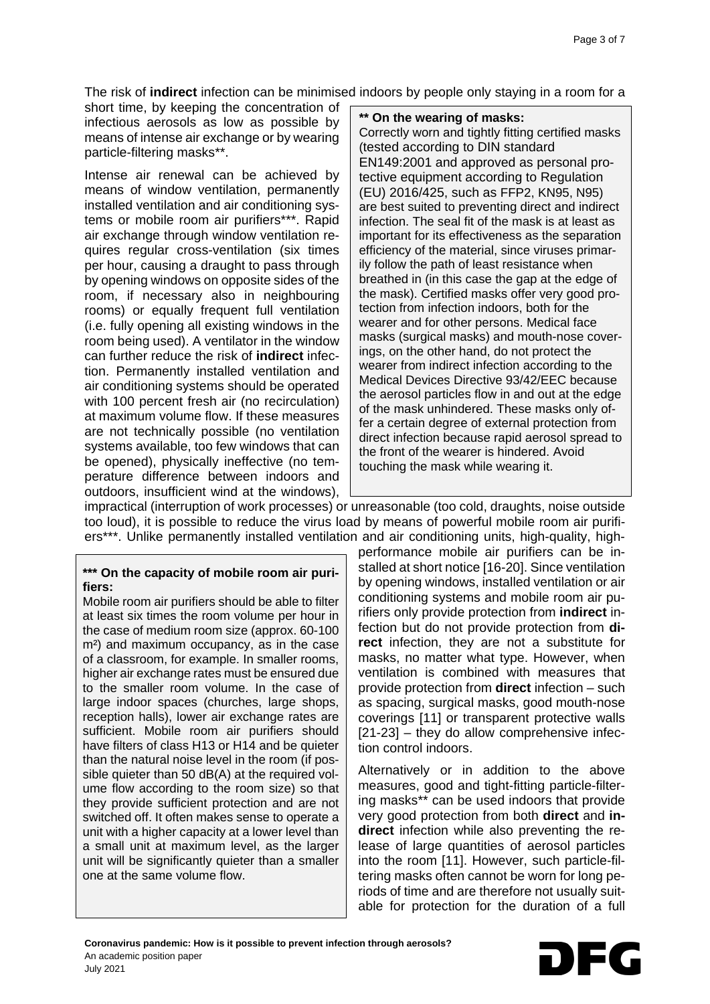The risk of **indirect** infection can be minimised indoors by people only staying in a room for a

short time, by keeping the concentration of infectious aerosols as low as possible by means of intense air exchange or by wearing particle-filtering masks\*\*.

Intense air renewal can be achieved by means of window ventilation, permanently installed ventilation and air conditioning systems or mobile room air purifiers\*\*\*. Rapid air exchange through window ventilation requires regular cross-ventilation (six times per hour, causing a draught to pass through by opening windows on opposite sides of the room, if necessary also in neighbouring rooms) or equally frequent full ventilation (i.e. fully opening all existing windows in the room being used). A ventilator in the window can further reduce the risk of **indirect** infection. Permanently installed ventilation and air conditioning systems should be operated with 100 percent fresh air (no recirculation) at maximum volume flow. If these measures are not technically possible (no ventilation systems available, too few windows that can be opened), physically ineffective (no temperature difference between indoors and outdoors, insufficient wind at the windows),

#### **\*\* On the wearing of masks:**

Correctly worn and tightly fitting certified masks (tested according to DIN standard EN149:2001 and approved as personal protective equipment according to Regulation (EU) 2016/425, such as FFP2, KN95, N95) are best suited to preventing direct and indirect infection. The seal fit of the mask is at least as important for its effectiveness as the separation efficiency of the material, since viruses primarily follow the path of least resistance when breathed in (in this case the gap at the edge of the mask). Certified masks offer very good protection from infection indoors, both for the wearer and for other persons. Medical face masks (surgical masks) and mouth-nose coverings, on the other hand, do not protect the wearer from indirect infection according to the Medical Devices Directive 93/42/EEC because the aerosol particles flow in and out at the edge of the mask unhindered. These masks only offer a certain degree of external protection from direct infection because rapid aerosol spread to the front of the wearer is hindered. Avoid touching the mask while wearing it.

impractical (interruption of work processes) or unreasonable (too cold, draughts, noise outside too loud), it is possible to reduce the virus load by means of powerful mobile room air purifiers\*\*\*. Unlike permanently installed ventilation and air conditioning units, high-quality, high-

#### **\*\*\* On the capacity of mobile room air purifiers:**

Mobile room air purifiers should be able to filter at least six times the room volume per hour in the case of medium room size (approx. 60-100 m²) and maximum occupancy, as in the case of a classroom, for example. In smaller rooms, higher air exchange rates must be ensured due to the smaller room volume. In the case of large indoor spaces (churches, large shops, reception halls), lower air exchange rates are sufficient. Mobile room air purifiers should have filters of class H13 or H14 and be quieter than the natural noise level in the room (if possible quieter than 50 dB(A) at the required volume flow according to the room size) so that they provide sufficient protection and are not switched off. It often makes sense to operate a unit with a higher capacity at a lower level than a small unit at maximum level, as the larger unit will be significantly quieter than a smaller one at the same volume flow.

performance mobile air purifiers can be installed at short notice [16-20]. Since ventilation by opening windows, installed ventilation or air conditioning systems and mobile room air purifiers only provide protection from **indirect** infection but do not provide protection from **direct** infection, they are not a substitute for masks, no matter what type. However, when ventilation is combined with measures that provide protection from **direct** infection – such as spacing, surgical masks, good mouth-nose coverings [11] or transparent protective walls [21-23] – they do allow comprehensive infection control indoors.

Alternatively or in addition to the above measures, good and tight-fitting particle-filtering masks\*\* can be used indoors that provide very good protection from both **direct** and **indirect** infection while also preventing the release of large quantities of aerosol particles into the room [11]. However, such particle-filtering masks often cannot be worn for long periods of time and are therefore not usually suitable for protection for the duration of a full

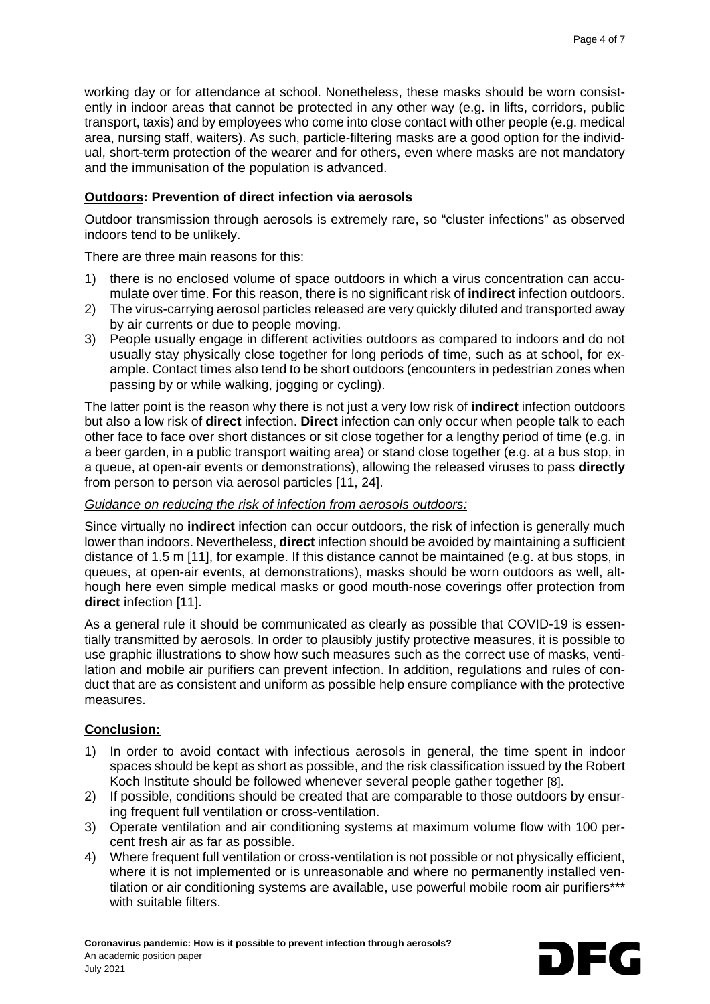working day or for attendance at school. Nonetheless, these masks should be worn consistently in indoor areas that cannot be protected in any other way (e.g. in lifts, corridors, public transport, taxis) and by employees who come into close contact with other people (e.g. medical area, nursing staff, waiters). As such, particle-filtering masks are a good option for the individual, short-term protection of the wearer and for others, even where masks are not mandatory and the immunisation of the population is advanced.

## **Outdoors: Prevention of direct infection via aerosols**

Outdoor transmission through aerosols is extremely rare, so "cluster infections" as observed indoors tend to be unlikely.

There are three main reasons for this:

- 1) there is no enclosed volume of space outdoors in which a virus concentration can accumulate over time. For this reason, there is no significant risk of **indirect** infection outdoors.
- 2) The virus-carrying aerosol particles released are very quickly diluted and transported away by air currents or due to people moving.
- 3) People usually engage in different activities outdoors as compared to indoors and do not usually stay physically close together for long periods of time, such as at school, for example. Contact times also tend to be short outdoors (encounters in pedestrian zones when passing by or while walking, jogging or cycling).

The latter point is the reason why there is not just a very low risk of **indirect** infection outdoors but also a low risk of **direct** infection. **Direct** infection can only occur when people talk to each other face to face over short distances or sit close together for a lengthy period of time (e.g. in a beer garden, in a public transport waiting area) or stand close together (e.g. at a bus stop, in a queue, at open-air events or demonstrations), allowing the released viruses to pass **directly** from person to person via aerosol particles [11, 24].

## *Guidance on reducing the risk of infection from aerosols outdoors:*

Since virtually no **indirect** infection can occur outdoors, the risk of infection is generally much lower than indoors. Nevertheless, **direct** infection should be avoided by maintaining a sufficient distance of 1.5 m [11], for example. If this distance cannot be maintained (e.g. at bus stops, in queues, at open-air events, at demonstrations), masks should be worn outdoors as well, although here even simple medical masks or good mouth-nose coverings offer protection from **direct** infection [11].

As a general rule it should be communicated as clearly as possible that COVID-19 is essentially transmitted by aerosols. In order to plausibly justify protective measures, it is possible to use graphic illustrations to show how such measures such as the correct use of masks, ventilation and mobile air purifiers can prevent infection. In addition, regulations and rules of conduct that are as consistent and uniform as possible help ensure compliance with the protective measures.

## **Conclusion:**

- 1) In order to avoid contact with infectious aerosols in general, the time spent in indoor spaces should be kept as short as possible, and the risk classification issued by the Robert Koch Institute should be followed whenever several people gather together [8].
- 2) If possible, conditions should be created that are comparable to those outdoors by ensuring frequent full ventilation or cross-ventilation.
- 3) Operate ventilation and air conditioning systems at maximum volume flow with 100 percent fresh air as far as possible.
- 4) Where frequent full ventilation or cross-ventilation is not possible or not physically efficient, where it is not implemented or is unreasonable and where no permanently installed ventilation or air conditioning systems are available, use powerful mobile room air purifiers\*\*\* with suitable filters.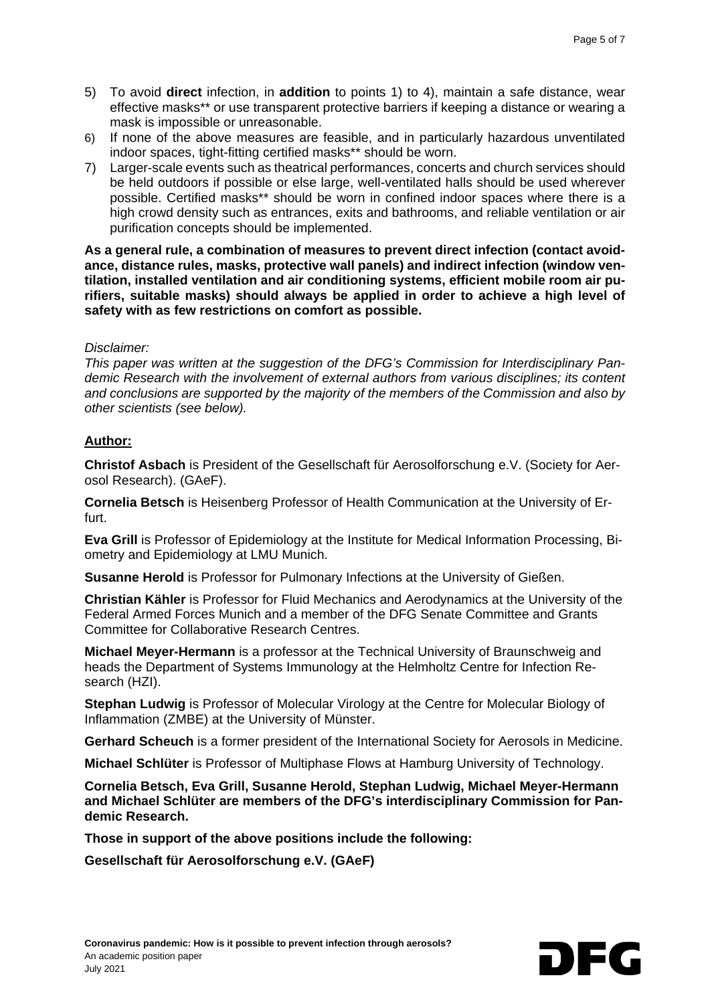- 5) To avoid **direct** infection, in **addition** to points 1) to 4), maintain a safe distance, wear effective masks\*\* or use transparent protective barriers if keeping a distance or wearing a mask is impossible or unreasonable.
- 6) If none of the above measures are feasible, and in particularly hazardous unventilated indoor spaces, tight-fitting certified masks\*\* should be worn.
- 7) Larger-scale events such as theatrical performances, concerts and church services should be held outdoors if possible or else large, well-ventilated halls should be used wherever possible. Certified masks\*\* should be worn in confined indoor spaces where there is a high crowd density such as entrances, exits and bathrooms, and reliable ventilation or air purification concepts should be implemented.

**As a general rule, a combination of measures to prevent direct infection (contact avoidance, distance rules, masks, protective wall panels) and indirect infection (window ventilation, installed ventilation and air conditioning systems, efficient mobile room air purifiers, suitable masks) should always be applied in order to achieve a high level of safety with as few restrictions on comfort as possible.**

### *Disclaimer:*

*This paper was written at the suggestion of the DFG's Commission for Interdisciplinary Pandemic Research with the involvement of external authors from various disciplines; its content and conclusions are supported by the majority of the members of the Commission and also by other scientists (see below).*

### **Author:**

**Christof Asbach** is President of the Gesellschaft für Aerosolforschung e.V. (Society for Aerosol Research). (GAeF).

**Cornelia Betsch** is Heisenberg Professor of Health Communication at the University of Erfurt.

**Eva Grill** is Professor of Epidemiology at the Institute for Medical Information Processing, Biometry and Epidemiology at LMU Munich.

**Susanne Herold** is Professor for Pulmonary Infections at the University of Gießen.

**Christian Kähler** is Professor for Fluid Mechanics and Aerodynamics at the University of the Federal Armed Forces Munich and a member of the DFG Senate Committee and Grants Committee for Collaborative Research Centres.

**Michael Meyer-Hermann** is a professor at the Technical University of Braunschweig and heads the Department of Systems Immunology at the Helmholtz Centre for Infection Research (HZI).

**Stephan Ludwig** is Professor of Molecular Virology at the Centre for Molecular Biology of Inflammation (ZMBE) at the University of Münster.

**Gerhard Scheuch** is a former president of the International Society for Aerosols in Medicine.

**Michael Schlüter** is Professor of Multiphase Flows at Hamburg University of Technology.

**Cornelia Betsch, Eva Grill, Susanne Herold, Stephan Ludwig, Michael Meyer-Hermann and Michael Schlüter are members of the DFG's interdisciplinary Commission for Pandemic Research.** 

**Those in support of the above positions include the following:**

**Gesellschaft für Aerosolforschung e.V. (GAeF)**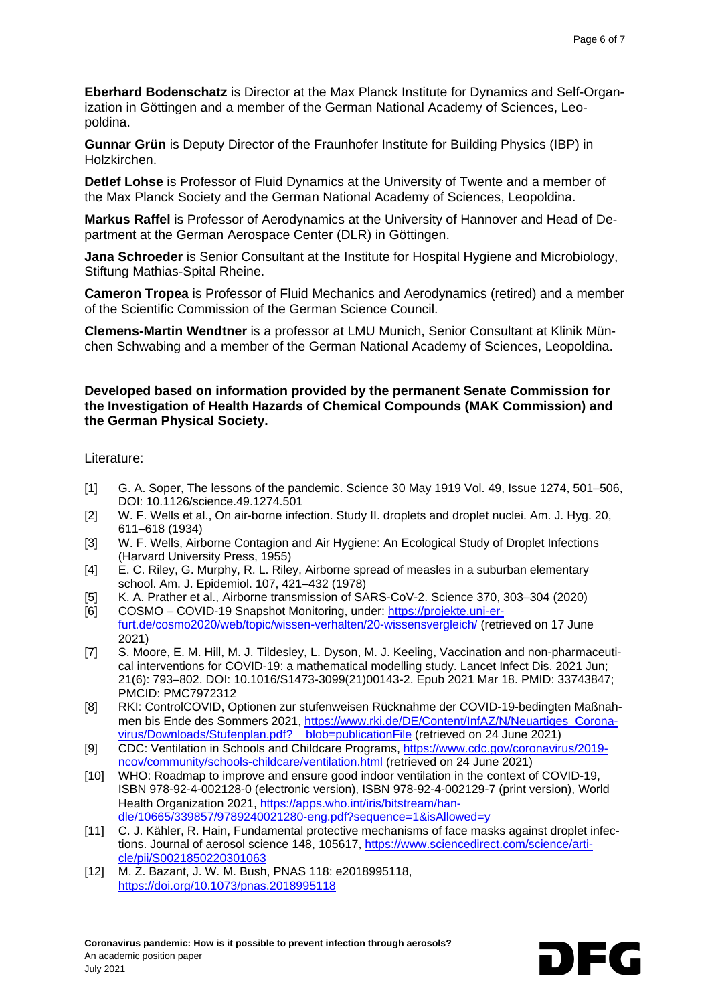**Eberhard Bodenschatz** is Director at the Max Planck Institute for Dynamics and Self-Organization in Göttingen and a member of the German National Academy of Sciences, Leopoldina.

**Gunnar Grün** is Deputy Director of the Fraunhofer Institute for Building Physics (IBP) in Holzkirchen.

**Detlef Lohse** is Professor of Fluid Dynamics at the University of Twente and a member of the Max Planck Society and the German National Academy of Sciences, Leopoldina.

**Markus Raffel** is Professor of Aerodynamics at the University of Hannover and Head of Department at the German Aerospace Center (DLR) in Göttingen.

**Jana Schroeder** is Senior Consultant at the Institute for Hospital Hygiene and Microbiology, Stiftung Mathias-Spital Rheine.

**Cameron Tropea** is Professor of Fluid Mechanics and Aerodynamics (retired) and a member of the Scientific Commission of the German Science Council.

**Clemens-Martin Wendtner** is a professor at LMU Munich, Senior Consultant at Klinik München Schwabing and a member of the German National Academy of Sciences, Leopoldina.

#### **Developed based on information provided by the permanent Senate Commission for the Investigation of Health Hazards of Chemical Compounds (MAK Commission) and the German Physical Society.**

Literature:

- [1] G. A. Soper, The lessons of the pandemic. Science 30 May 1919 Vol. 49, Issue 1274, 501–506, DOI: 10.1126/science.49.1274.501
- [2] W. F. Wells et al., On air-borne infection. Study II. droplets and droplet nuclei. Am. J. Hyg. 20, 611–618 (1934)
- [3] W. F. Wells, Airborne Contagion and Air Hygiene: An Ecological Study of Droplet Infections (Harvard University Press, 1955)
- [4] E. C. Riley, G. Murphy, R. L. Riley, Airborne spread of measles in a suburban elementary school. Am. J. Epidemiol. 107, 421–432 (1978)
- [5] K. A. Prather et al., Airborne transmission of SARS-CoV-2. Science 370, 303–304 (2020)<br>[6] COSMO COVID-19 Snapshot Monitoring, under: https://projekte.uni-er-
- COSMO COVID-19 Snapshot Monitoring, under: [https://projekte.uni-er](https://projekte.uni-erfurt.de/cosmo2020/web/topic/wissen-verhalten/20-wissensvergleich/)[furt.de/cosmo2020/web/topic/wissen-verhalten/20-wissensvergleich/](https://projekte.uni-erfurt.de/cosmo2020/web/topic/wissen-verhalten/20-wissensvergleich/) (retrieved on 17 June 2021)
- [7] S. Moore, E. M. Hill, M. J. Tildesley, L. Dyson, M. J. Keeling, Vaccination and non-pharmaceutical interventions for COVID-19: a mathematical modelling study. Lancet Infect Dis. 2021 Jun; 21(6): 793–802. DOI: 10.1016/S1473-3099(21)00143-2. Epub 2021 Mar 18. PMID: 33743847; PMCID: PMC7972312
- [8] RKI: ControlCOVID, Optionen zur stufenweisen Rücknahme der COVID-19-bedingten Maßnahmen bis Ende des Sommers 2021, [https://www.rki.de/DE/Content/InfAZ/N/Neuartiges\\_Corona](https://www.rki.de/DE/Content/InfAZ/N/Neuartiges_Coronavirus/Downloads/Stufenplan.pdf?__blob=publicationFile)[virus/Downloads/Stufenplan.pdf?\\_\\_blob=publicationFile](https://www.rki.de/DE/Content/InfAZ/N/Neuartiges_Coronavirus/Downloads/Stufenplan.pdf?__blob=publicationFile) (retrieved on 24 June 2021)
- [9] CDC: Ventilation in Schools and Childcare Programs, [https://www.cdc.gov/coronavirus/2019](https://www.cdc.gov/coronavirus/2019-ncov/community/schools-childcare/ventilation.html) [ncov/community/schools-childcare/ventilation.html](https://www.cdc.gov/coronavirus/2019-ncov/community/schools-childcare/ventilation.html) (retrieved on 24 June 2021)
- [10] WHO: Roadmap to improve and ensure good indoor ventilation in the context of COVID-19, ISBN 978-92-4-002128-0 (electronic version), ISBN 978-92-4-002129-7 (print version), World Health Organization 2021, [https://apps.who.int/iris/bitstream/han](https://apps.who.int/iris/bitstream/handle/10665/339857/9789240021280-eng.pdf?sequence=1&isAllowed=y)[dle/10665/339857/9789240021280-eng.pdf?sequence=1&isAllowed=y](https://apps.who.int/iris/bitstream/handle/10665/339857/9789240021280-eng.pdf?sequence=1&isAllowed=y)
- [11] C. J. Kähler, R. Hain, Fundamental protective mechanisms of face masks against droplet infections. Journal of aerosol science 148, 105617, [https://www.sciencedirect.com/science/arti](https://www.sciencedirect.com/science/article/pii/S0021850220301063)[cle/pii/S0021850220301063](https://www.sciencedirect.com/science/article/pii/S0021850220301063)
- [12] M. Z. Bazant, J. W. M. Bush, PNAS 118: e2018995118, <https://doi.org/10.1073/pnas.2018995118>